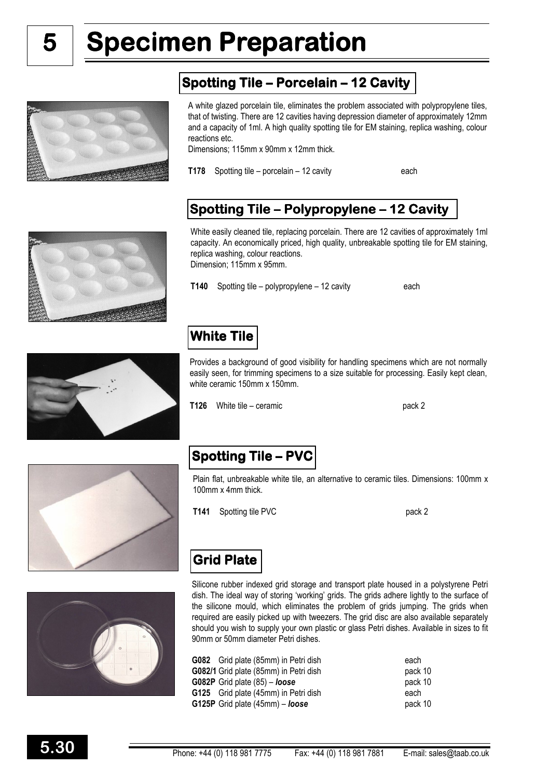5

# Specimen Preparation

## Spotting Tile – Porcelain – 12 Cavity



A white glazed porcelain tile, eliminates the problem associated with polypropylene tiles, that of twisting. There are 12 cavities having depression diameter of approximately 12mm and a capacity of 1ml. A high quality spotting tile for EM staining, replica washing, colour reactions etc.

Dimensions; 115mm x 90mm x 12mm thick.

T178 Spotting tile – porcelain – 12 cavity each

### Spotting Tile – Polypropylene – 12 Cavity



White easily cleaned tile, replacing porcelain. There are 12 cavities of approximately 1ml capacity. An economically priced, high quality, unbreakable spotting tile for EM staining, replica washing, colour reactions. Dimension; 115mm x 95mm.

T140 Spotting tile – polypropylene – 12 cavity each

# White Tile

Provides a background of good visibility for handling specimens which are not normally easily seen, for trimming specimens to a size suitable for processing. Easily kept clean, white ceramic 150mm x 150mm.

T126 White tile – ceramic pack 2



## Spotting Tile – PVC

Plain flat, unbreakable white tile, an alternative to ceramic tiles. Dimensions: 100mm x 100mm x 4mm thick.

T141 Spotting tile PVC pack 2



## Grid Plate

Silicone rubber indexed grid storage and transport plate housed in a polystyrene Petri dish. The ideal way of storing 'working' grids. The grids adhere lightly to the surface of the silicone mould, which eliminates the problem of grids jumping. The grids when required are easily picked up with tweezers. The grid disc are also available separately should you wish to supply your own plastic or glass Petri dishes. Available in sizes to fit 90mm or 50mm diameter Petri dishes.

| <b>G082</b> Grid plate (85mm) in Petri dish | each    |
|---------------------------------------------|---------|
| G082/1 Grid plate (85mm) in Petri dish      | pack 10 |
| G082P Grid plate (85) - loose               | pack 10 |
| G125 Grid plate (45mm) in Petri dish        | each    |
| G125P Grid plate (45mm) – loose             | pack 10 |